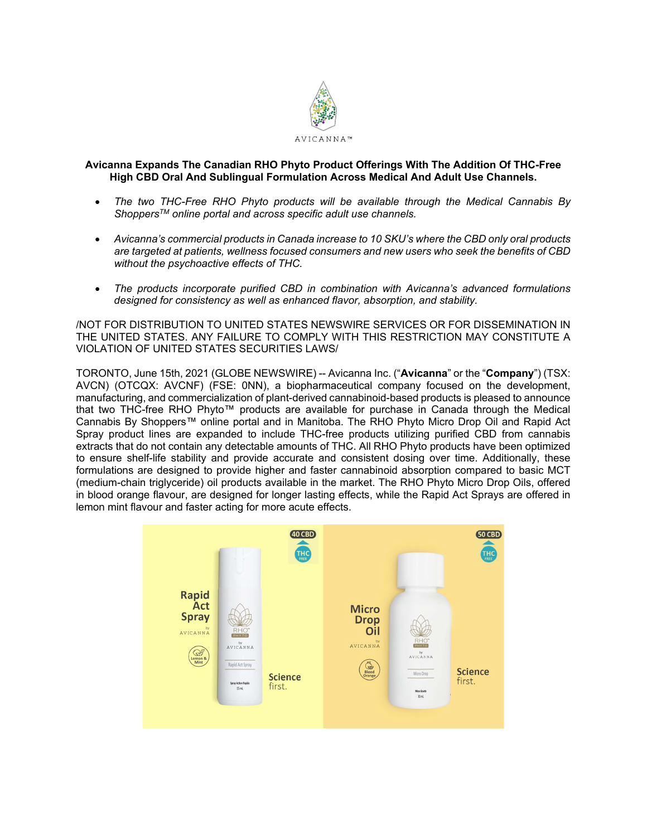

# **Avicanna Expands The Canadian RHO Phyto Product Offerings With The Addition Of THC-Free High CBD Oral And Sublingual Formulation Across Medical And Adult Use Channels.**

- *The two THC-Free RHO Phyto products will be available through the Medical Cannabis By ShoppersTM online portal and across specific adult use channels.*
- *Avicanna's commercial products in Canada increase to 10 SKU's where the CBD only oral products are targeted at patients, wellness focused consumers and new users who seek the benefits of CBD without the psychoactive effects of THC.*
- *The products incorporate purified CBD in combination with Avicanna's advanced formulations designed for consistency as well as enhanced flavor, absorption, and stability.*

/NOT FOR DISTRIBUTION TO UNITED STATES NEWSWIRE SERVICES OR FOR DISSEMINATION IN THE UNITED STATES. ANY FAILURE TO COMPLY WITH THIS RESTRICTION MAY CONSTITUTE A VIOLATION OF UNITED STATES SECURITIES LAWS/

TORONTO, June 15th, 2021 (GLOBE NEWSWIRE) -- Avicanna Inc. ("**Avicanna**" or the "**Company**") (TSX: AVCN) (OTCQX: AVCNF) (FSE: 0NN), a biopharmaceutical company focused on the development, manufacturing, and commercialization of plant-derived cannabinoid-based products is pleased to announce that two THC-free RHO Phyto™ products are available for purchase in Canada through the Medical Cannabis By Shoppers™ online portal and in Manitoba. The RHO Phyto Micro Drop Oil and Rapid Act Spray product lines are expanded to include THC-free products utilizing purified CBD from cannabis extracts that do not contain any detectable amounts of THC. All RHO Phyto products have been optimized to ensure shelf-life stability and provide accurate and consistent dosing over time. Additionally, these formulations are designed to provide higher and faster cannabinoid absorption compared to basic MCT (medium-chain triglyceride) oil products available in the market. The RHO Phyto Micro Drop Oils, offered in blood orange flavour, are designed for longer lasting effects, while the Rapid Act Sprays are offered in lemon mint flavour and faster acting for more acute effects.

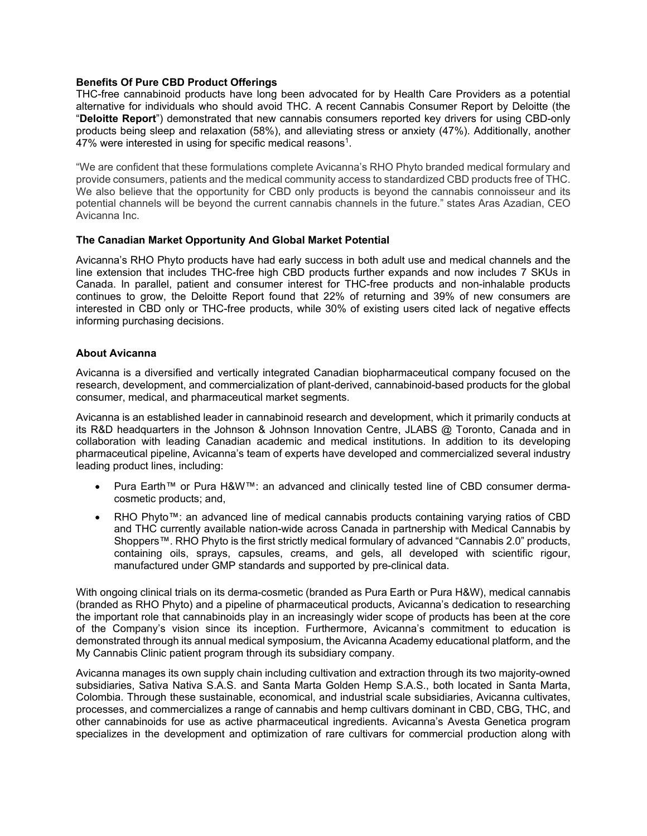## **Benefits Of Pure CBD Product Offerings**

THC-free cannabinoid products have long been advocated for by Health Care Providers as a potential alternative for individuals who should avoid THC. A recent Cannabis Consumer Report by Deloitte (the "**Deloitte Report**") demonstrated that new cannabis consumers reported key drivers for using CBD-only products being sleep and relaxation (58%), and alleviating stress or anxiety (47%). Additionally, another 47% were interested in using for specific medical reasons<sup>1</sup>.

"We are confident that these formulations complete Avicanna's RHO Phyto branded medical formulary and provide consumers, patients and the medical community access to standardized CBD products free of THC. We also believe that the opportunity for CBD only products is beyond the cannabis connoisseur and its potential channels will be beyond the current cannabis channels in the future." states Aras Azadian, CEO Avicanna Inc.

### **The Canadian Market Opportunity And Global Market Potential**

Avicanna's RHO Phyto products have had early success in both adult use and medical channels and the line extension that includes THC-free high CBD products further expands and now includes 7 SKUs in Canada. In parallel, patient and consumer interest for THC-free products and non-inhalable products continues to grow, the Deloitte Report found that 22% of returning and 39% of new consumers are interested in CBD only or THC-free products, while 30% of existing users cited lack of negative effects informing purchasing decisions.

### **About Avicanna**

Avicanna is a diversified and vertically integrated Canadian biopharmaceutical company focused on the research, development, and commercialization of plant-derived, cannabinoid-based products for the global consumer, medical, and pharmaceutical market segments.

Avicanna is an established leader in cannabinoid research and development, which it primarily conducts at its R&D headquarters in the Johnson & Johnson Innovation Centre, JLABS @ Toronto, Canada and in collaboration with leading Canadian academic and medical institutions. In addition to its developing pharmaceutical pipeline, Avicanna's team of experts have developed and commercialized several industry leading product lines, including:

- Pura Earth™ or Pura H&W™: an advanced and clinically tested line of CBD consumer dermacosmetic products; and,
- RHO Phyto™: an advanced line of medical cannabis products containing varying ratios of CBD and THC currently available nation-wide across Canada in partnership with Medical Cannabis by Shoppers™. RHO Phyto is the first strictly medical formulary of advanced "Cannabis 2.0" products, containing oils, sprays, capsules, creams, and gels, all developed with scientific rigour, manufactured under GMP standards and supported by pre-clinical data.

With ongoing clinical trials on its derma-cosmetic (branded as Pura Earth or Pura H&W), medical cannabis (branded as RHO Phyto) and a pipeline of pharmaceutical products, Avicanna's dedication to researching the important role that cannabinoids play in an increasingly wider scope of products has been at the core of the Company's vision since its inception. Furthermore, Avicanna's commitment to education is demonstrated through its annual medical symposium, the Avicanna Academy educational platform, and the My Cannabis Clinic patient program through its subsidiary company.

Avicanna manages its own supply chain including cultivation and extraction through its two majority-owned subsidiaries, Sativa Nativa S.A.S. and Santa Marta Golden Hemp S.A.S., both located in Santa Marta, Colombia. Through these sustainable, economical, and industrial scale subsidiaries, Avicanna cultivates, processes, and commercializes a range of cannabis and hemp cultivars dominant in CBD, CBG, THC, and other cannabinoids for use as active pharmaceutical ingredients. Avicanna's Avesta Genetica program specializes in the development and optimization of rare cultivars for commercial production along with